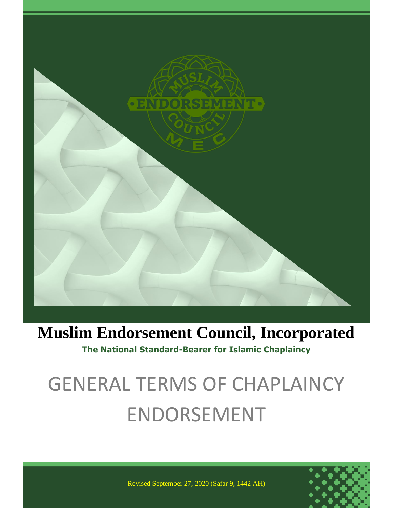

## **Muslim Endorsement Council, Incorporated**

**The National Standard-Bearer for Islamic Chaplaincy**

# GENERAL TERMS OF CHAPLAINCY ENDORSEMENT



Revised September 27, 2020 (Safar 9, 1442 AH)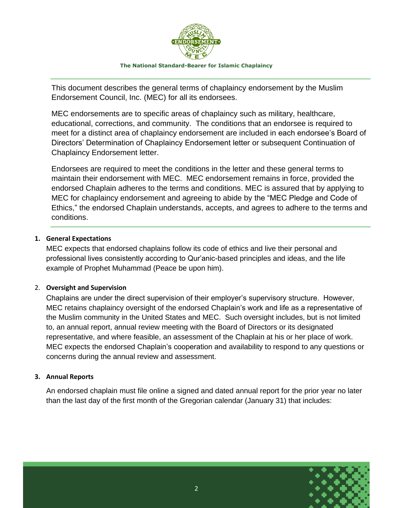

This document describes the general terms of chaplaincy endorsement by the Muslim Endorsement Council, Inc. (MEC) for all its endorsees.

MEC endorsements are to specific areas of chaplaincy such as military, healthcare, educational, corrections, and community. The conditions that an endorsee is required to meet for a distinct area of chaplaincy endorsement are included in each endorsee's Board of Directors' Determination of Chaplaincy Endorsement letter or subsequent Continuation of Chaplaincy Endorsement letter.

Endorsees are required to meet the conditions in the letter and these general terms to maintain their endorsement with MEC. MEC endorsement remains in force, provided the endorsed Chaplain adheres to the terms and conditions. MEC is assured that by applying to MEC for chaplaincy endorsement and agreeing to abide by the "MEC Pledge and Code of Ethics," the endorsed Chaplain understands, accepts, and agrees to adhere to the terms and conditions.

#### **1. General Expectations**

MEC expects that endorsed chaplains follow its code of ethics and live their personal and professional lives consistently according to Qur'anic-based principles and ideas, and the life example of Prophet Muhammad (Peace be upon him).

#### 2. **Oversight and Supervision**

Chaplains are under the direct supervision of their employer's supervisory structure. However, MEC retains chaplaincy oversight of the endorsed Chaplain's work and life as a representative of the Muslim community in the United States and MEC. Such oversight includes, but is not limited to, an annual report, annual review meeting with the Board of Directors or its designated representative, and where feasible, an assessment of the Chaplain at his or her place of work. MEC expects the endorsed Chaplain's cooperation and availability to respond to any questions or concerns during the annual review and assessment.

#### **3. Annual Reports**

An endorsed chaplain must file online a signed and dated annual report for the prior year no later than the last day of the first month of the Gregorian calendar (January 31) that includes:

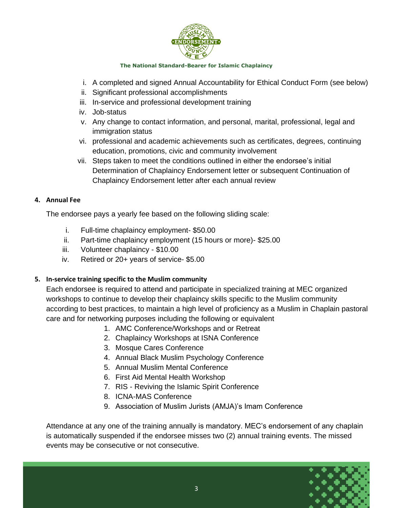

- i. A completed and signed Annual Accountability for Ethical Conduct Form (see below)
- ii. Significant professional accomplishments
- iii. In-service and professional development training
- iv. Job-status
- v. Any change to contact information, and personal, marital, professional, legal and immigration status
- vi. professional and academic achievements such as certificates, degrees, continuing education, promotions, civic and community involvement
- vii. Steps taken to meet the conditions outlined in either the endorsee's initial Determination of Chaplaincy Endorsement letter or subsequent Continuation of Chaplaincy Endorsement letter after each annual review

#### **4. Annual Fee**

The endorsee pays a yearly fee based on the following sliding scale:

- i. Full-time chaplaincy employment- \$50.00
- ii. Part-time chaplaincy employment (15 hours or more)- \$25.00
- iii. Volunteer chaplaincy \$10.00
- iv. Retired or 20+ years of service- \$5.00

#### **5. In-service training specific to the Muslim community**

Each endorsee is required to attend and participate in specialized training at MEC organized workshops to continue to develop their chaplaincy skills specific to the Muslim community according to best practices, to maintain a high level of proficiency as a Muslim in Chaplain pastoral care and for networking purposes including the following or equivalent

- 1. AMC Conference/Workshops and or Retreat
- 2. Chaplaincy Workshops at ISNA Conference
- 3. Mosque Cares Conference
- 4. Annual Black Muslim Psychology Conference
- 5. Annual Muslim Mental Conference
- 6. First Aid Mental Health Workshop
- 7. RIS Reviving the Islamic Spirit Conference
- 8. ICNA-MAS Conference
- 9. Association of Muslim Jurists (AMJA)'s Imam Conference

Attendance at any one of the training annually is mandatory. MEC's endorsement of any chaplain is automatically suspended if the endorsee misses two (2) annual training events. The missed events may be consecutive or not consecutive.

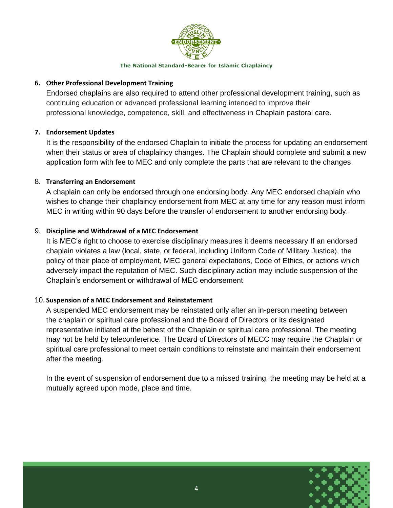

#### **6. Other Professional Development Training**

Endorsed chaplains are also required to attend other professional development training, such as continuing education or advanced professional learning intended to improve their professional knowledge, competence, skill, and effectiveness in Chaplain pastoral care.

#### **7. Endorsement Updates**

It is the responsibility of the endorsed Chaplain to initiate the process for updating an endorsement when their status or area of chaplaincy changes. The Chaplain should complete and submit a new application form with fee to MEC and only complete the parts that are relevant to the changes.

#### 8. **Transferring an Endorsement**

A chaplain can only be endorsed through one endorsing body. Any MEC endorsed chaplain who wishes to change their chaplaincy endorsement from MEC at any time for any reason must inform MEC in writing within 90 days before the transfer of endorsement to another endorsing body.

#### 9. **Discipline and Withdrawal of a MEC Endorsement**

It is MEC's right to choose to exercise disciplinary measures it deems necessary If an endorsed chaplain violates a law (local, state, or federal, including Uniform Code of Military Justice), the policy of their place of employment, MEC general expectations, Code of Ethics, or actions which adversely impact the reputation of MEC. Such disciplinary action may include suspension of the Chaplain's endorsement or withdrawal of MEC endorsement

#### 10. **Suspension of a MEC Endorsement and Reinstatement**

A suspended MEC endorsement may be reinstated only after an in-person meeting between the chaplain or spiritual care professional and the Board of Directors or its designated representative initiated at the behest of the Chaplain or spiritual care professional. The meeting may not be held by teleconference. The Board of Directors of MECC may require the Chaplain or spiritual care professional to meet certain conditions to reinstate and maintain their endorsement after the meeting.

In the event of suspension of endorsement due to a missed training, the meeting may be held at a mutually agreed upon mode, place and time.

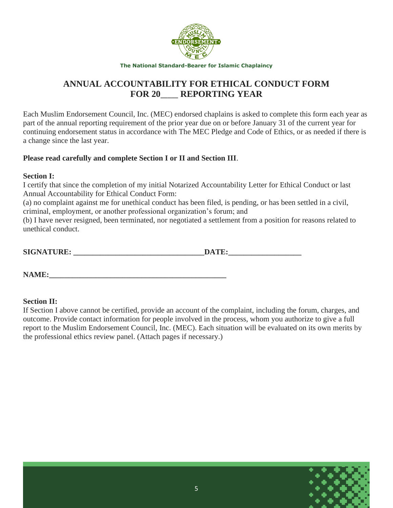

### **ANNUAL ACCOUNTABILITY FOR ETHICAL CONDUCT FORM FOR 20**\_\_\_\_\_ **REPORTING YEAR**

Each Muslim Endorsement Council, Inc. (MEC) endorsed chaplains is asked to complete this form each year as part of the annual reporting requirement of the prior year due on or before January 31 of the current year for continuing endorsement status in accordance with The MEC Pledge and Code of Ethics, or as needed if there is a change since the last year.

#### **Please read carefully and complete Section I or II and Section III**.

#### **Section I:**

I certify that since the completion of my initial Notarized Accountability Letter for Ethical Conduct or last Annual Accountability for Ethical Conduct Form:

(a) no complaint against me for unethical conduct has been filed, is pending, or has been settled in a civil, criminal, employment, or another professional organization's forum; and

(b) I have never resigned, been terminated, nor negotiated a settlement from a position for reasons related to unethical conduct.

**SIGNATURE: \_\_\_\_\_\_\_\_\_\_\_\_\_\_\_\_\_\_\_\_\_\_\_\_\_\_\_\_\_\_\_\_\_\_DATE:\_\_\_\_\_\_\_\_\_\_\_\_\_\_\_\_\_\_\_**

**NAME:** 

#### **Section II:**

If Section I above cannot be certified, provide an account of the complaint, including the forum, charges, and outcome. Provide contact information for people involved in the process, whom you authorize to give a full report to the Muslim Endorsement Council, Inc. (MEC). Each situation will be evaluated on its own merits by the professional ethics review panel. (Attach pages if necessary.)